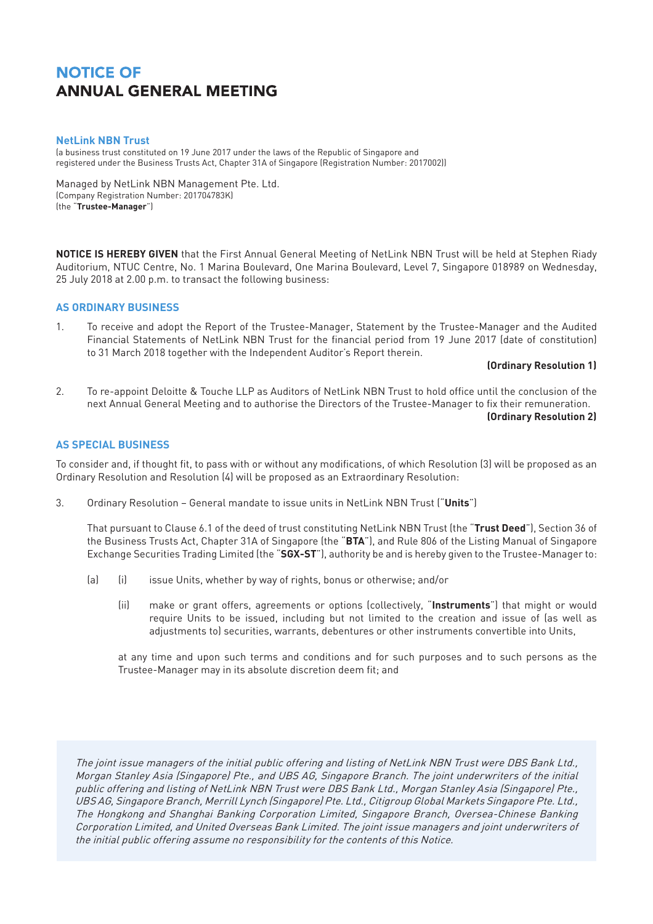### **NetLink NBN Trust**

(a business trust constituted on 19 June 2017 under the laws of the Republic of Singapore and registered under the Business Trusts Act, Chapter 31A of Singapore (Registration Number: 2017002))

Managed by NetLink NBN Management Pte. Ltd. (Company Registration Number: 201704783K) (the "**Trustee-Manager**")

**NOTICE IS HEREBY GIVEN** that the First Annual General Meeting of NetLink NBN Trust will be held at Stephen Riady Auditorium, NTUC Centre, No. 1 Marina Boulevard, One Marina Boulevard, Level 7, Singapore 018989 on Wednesday, 25 July 2018 at 2.00 p.m. to transact the following business:

#### **AS ORDINARY BUSINESS**

1. To receive and adopt the Report of the Trustee-Manager, Statement by the Trustee-Manager and the Audited Financial Statements of NetLink NBN Trust for the financial period from 19 June 2017 (date of constitution) to 31 March 2018 together with the Independent Auditor's Report therein.

**(Ordinary Resolution 1)**

2. To re-appoint Deloitte & Touche LLP as Auditors of NetLink NBN Trust to hold office until the conclusion of the next Annual General Meeting and to authorise the Directors of the Trustee-Manager to fix their remuneration. **(Ordinary Resolution 2)** 

### **AS SPECIAL BUSINESS**

To consider and, if thought fit, to pass with or without any modifications, of which Resolution (3) will be proposed as an Ordinary Resolution and Resolution (4) will be proposed as an Extraordinary Resolution:

3. Ordinary Resolution – General mandate to issue units in NetLink NBN Trust ("**Units**")

That pursuant to Clause 6.1 of the deed of trust constituting NetLink NBN Trust (the "**Trust Deed**"), Section 36 of the Business Trusts Act, Chapter 31A of Singapore (the "**BTA**"), and Rule 806 of the Listing Manual of Singapore Exchange Securities Trading Limited (the "**SGX-ST**"), authority be and is hereby given to the Trustee-Manager to:

- (a) (i) issue Units, whether by way of rights, bonus or otherwise; and/or
	- (ii) make or grant offers, agreements or options (collectively, "**Instruments**") that might or would require Units to be issued, including but not limited to the creation and issue of (as well as adjustments to) securities, warrants, debentures or other instruments convertible into Units,

at any time and upon such terms and conditions and for such purposes and to such persons as the Trustee-Manager may in its absolute discretion deem fit; and

The joint issue managers of the initial public offering and listing of NetLink NBN Trust were DBS Bank Ltd., Morgan Stanley Asia (Singapore) Pte., and UBS AG, Singapore Branch. The joint underwriters of the initial public offering and listing of NetLink NBN Trust were DBS Bank Ltd., Morgan Stanley Asia (Singapore) Pte., UBS AG, Singapore Branch, Merrill Lynch (Singapore) Pte. Ltd., Citigroup Global Markets Singapore Pte. Ltd., The Hongkong and Shanghai Banking Corporation Limited, Singapore Branch, Oversea-Chinese Banking Corporation Limited, and United Overseas Bank Limited. The joint issue managers and joint underwriters of the initial public offering assume no responsibility for the contents of this Notice.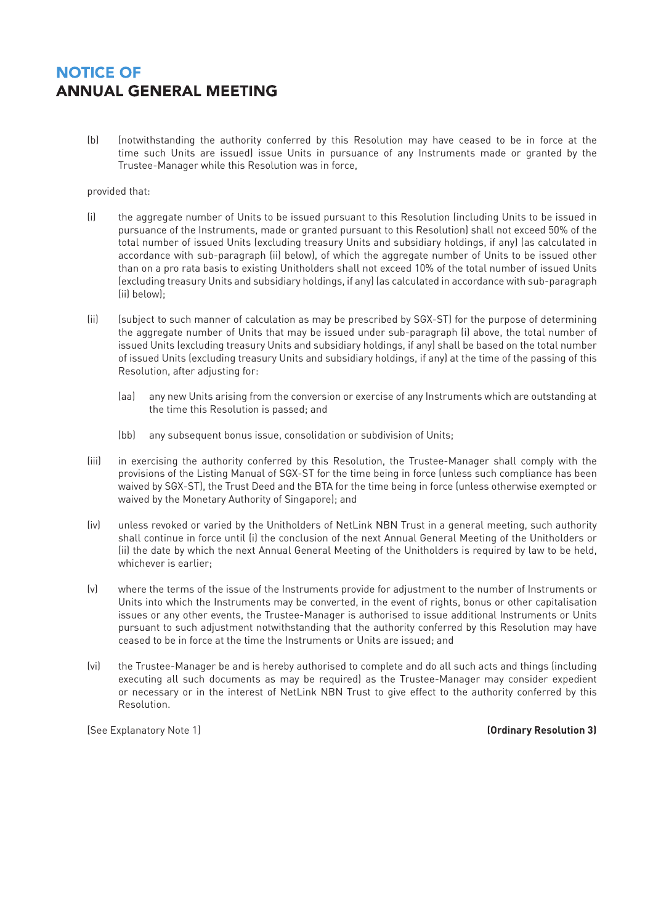(b) (notwithstanding the authority conferred by this Resolution may have ceased to be in force at the time such Units are issued) issue Units in pursuance of any Instruments made or granted by the Trustee-Manager while this Resolution was in force,

### provided that:

- (i) the aggregate number of Units to be issued pursuant to this Resolution (including Units to be issued in pursuance of the Instruments, made or granted pursuant to this Resolution) shall not exceed 50% of the total number of issued Units (excluding treasury Units and subsidiary holdings, if any) (as calculated in accordance with sub-paragraph (ii) below), of which the aggregate number of Units to be issued other than on a pro rata basis to existing Unitholders shall not exceed 10% of the total number of issued Units (excluding treasury Units and subsidiary holdings, if any) (as calculated in accordance with sub-paragraph (ii) below);
- (ii) (subject to such manner of calculation as may be prescribed by SGX-ST) for the purpose of determining the aggregate number of Units that may be issued under sub-paragraph (i) above, the total number of issued Units (excluding treasury Units and subsidiary holdings, if any) shall be based on the total number of issued Units (excluding treasury Units and subsidiary holdings, if any) at the time of the passing of this Resolution, after adjusting for:
	- (aa) any new Units arising from the conversion or exercise of any Instruments which are outstanding at the time this Resolution is passed; and
	- (bb) any subsequent bonus issue, consolidation or subdivision of Units;
- (iii) in exercising the authority conferred by this Resolution, the Trustee-Manager shall comply with the provisions of the Listing Manual of SGX-ST for the time being in force (unless such compliance has been waived by SGX-ST), the Trust Deed and the BTA for the time being in force (unless otherwise exempted or waived by the Monetary Authority of Singapore); and
- (iv) unless revoked or varied by the Unitholders of NetLink NBN Trust in a general meeting, such authority shall continue in force until (i) the conclusion of the next Annual General Meeting of the Unitholders or (ii) the date by which the next Annual General Meeting of the Unitholders is required by law to be held, whichever is earlier;
- (v) where the terms of the issue of the Instruments provide for adjustment to the number of Instruments or Units into which the Instruments may be converted, in the event of rights, bonus or other capitalisation issues or any other events, the Trustee-Manager is authorised to issue additional Instruments or Units pursuant to such adjustment notwithstanding that the authority conferred by this Resolution may have ceased to be in force at the time the Instruments or Units are issued; and
- (vi) the Trustee-Manager be and is hereby authorised to complete and do all such acts and things (including executing all such documents as may be required) as the Trustee-Manager may consider expedient or necessary or in the interest of NetLink NBN Trust to give effect to the authority conferred by this Resolution.

[See Explanatory Note 1] **(Ordinary Resolution 3)**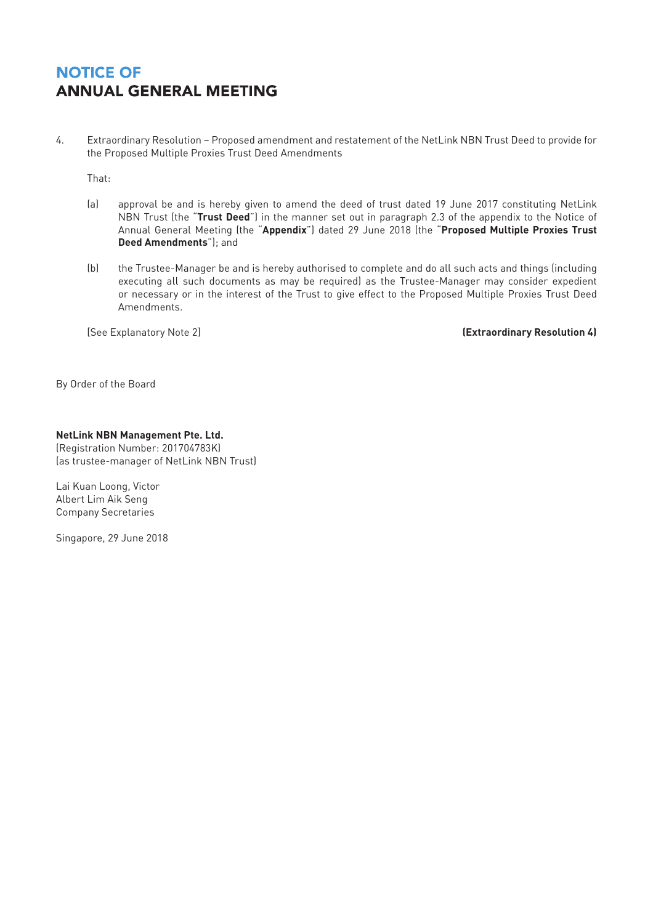4. Extraordinary Resolution – Proposed amendment and restatement of the NetLink NBN Trust Deed to provide for the Proposed Multiple Proxies Trust Deed Amendments

That:

- (a) approval be and is hereby given to amend the deed of trust dated 19 June 2017 constituting NetLink NBN Trust (the "**Trust Deed**") in the manner set out in paragraph 2.3 of the appendix to the Notice of Annual General Meeting (the "**Appendix**") dated 29 June 2018 (the "**Proposed Multiple Proxies Trust Deed Amendments**"); and
- (b) the Trustee-Manager be and is hereby authorised to complete and do all such acts and things (including executing all such documents as may be required) as the Trustee-Manager may consider expedient or necessary or in the interest of the Trust to give effect to the Proposed Multiple Proxies Trust Deed Amendments.

[See Explanatory Note 2] **(Extraordinary Resolution 4)**

By Order of the Board

### **NetLink NBN Management Pte. Ltd.**

(Registration Number: 201704783K) (as trustee-manager of NetLink NBN Trust)

Lai Kuan Loong, Victor Albert Lim Aik Seng Company Secretaries

Singapore, 29 June 2018